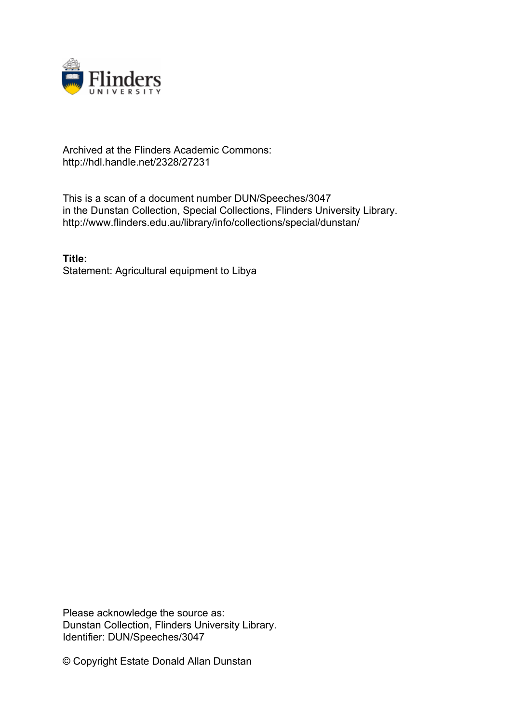

## Archived at the Flinders Academic Commons: http://hdl.handle.net/2328/27231

This is a scan of a document number DUN/Speeches/3047 in the Dunstan Collection, Special Collections, Flinders University Library. http://www.flinders.edu.au/library/info/collections/special/dunstan/

**Title:** Statement: Agricultural equipment to Libya

Please acknowledge the source as: Dunstan Collection, Flinders University Library. Identifier: DUN/Speeches/3047

© Copyright Estate Donald Allan Dunstan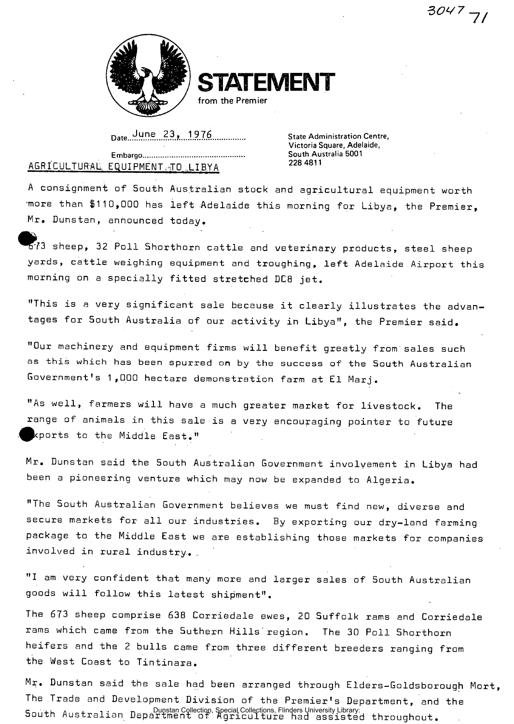$3047 - 7$ 



**STATEMENT** 

from the Premier

**Date...^.D.?.....l.itJ.f? . State Administration Centre,** 

**Victoria Square, Adelaide,** 

## **Embargo South Australia 5001**  AGRICULTURAL EQUIPMENT TO LIBYA

A consignment of South Australian stock and agricultural equipment worth -more than \$110,000 has left Adelaide this morning for Libya, the Premier, Mr. Dunstan, announced today.

 $\bullet$  : sheep, 32 Poll Shorthorn cattle and veterinary products, steel sheep yards, cattle weighing equipment and troughing, left Adelaide Airport this morning on a specially fitted stretched DC8 jet.

"This is a very significant sale because it clearly illustrates the advantages for South Australia of our activity in Libya", the Premier said.

"Our machinery and equipment firms will benefit greatly from'sales such as this which has been spurred on by the success of the South Australian Government's 1,000 hectare demonstration farm at El Marj.

"As well, farmers will have a much greater market for livestock. The range of animals in this sale is a very encouraging pointer to future xports to the Middle East."

Mr. Dunstan said the South Australian Government involvement in Libya had been a pioneering venture which may now be expanded to Algeria.

"The South Australian Government believes we must find new, diverse and secure markets for all our industries. By exporting our dry-land farming package to the Middle East we are establishing those markets for companies involved in rural industry..

"I am very confident that many more and larger sales of South Australian goods will follow this latest shipment".

The 673 sheep comprise 638 Corriedale ewes, 20 Suffolk rams and Corriedale rams which came from the Suthern Hills'region. The 30 Poll Shorthorn heifers and the 2 bulls came from three different breeders ranging from the West Coast to Tintinara.

Mr. Dunstan said the sale had been arranged through Elders-Goldsborough Mort, The Trade and Development Division of the Premier's Department, and the South Australian Department of Agriculture had assisted throughout. Dunstan Collection, Special Collections, Flinders University Library.